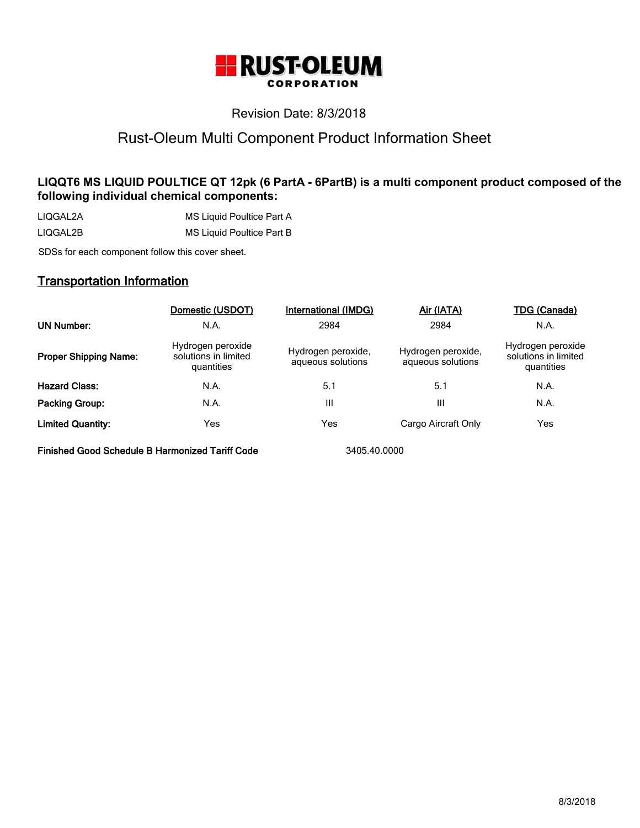

# Revision Date: 8/3/2018

# Rust-Oleum Multi Component Product Information Sheet

# **LIQQT6 MS LIQUID POULTICE QT 12pk (6 PartA - 6PartB) is a multi component product composed of the following individual chemical components:**

LIQGAL2A MS Liquid Poultice Part A LIQGAL2B MS Liquid Poultice Part B

SDSs for each component follow this cover sheet.

# **Transportation Information**

|                              | Domestic (USDOT)                                        | International (IMDG)                    | Air (IATA)                              | TDG (Canada)                                            |
|------------------------------|---------------------------------------------------------|-----------------------------------------|-----------------------------------------|---------------------------------------------------------|
| <b>UN Number:</b>            | N.A.                                                    | 2984                                    | 2984                                    | N.A.                                                    |
| <b>Proper Shipping Name:</b> | Hydrogen peroxide<br>solutions in limited<br>quantities | Hydrogen peroxide,<br>aqueous solutions | Hydrogen peroxide,<br>aqueous solutions | Hydrogen peroxide<br>solutions in limited<br>quantities |
| <b>Hazard Class:</b>         | N.A.                                                    | 5.1                                     | 5.1                                     | N.A.                                                    |
| Packing Group:               | N.A.                                                    | Ш                                       | Ш                                       | N.A.                                                    |
| <b>Limited Quantity:</b>     | Yes                                                     | Yes                                     | Cargo Aircraft Only                     | Yes                                                     |

**Finished Good Schedule B Harmonized Tariff Code** 3405.40.0000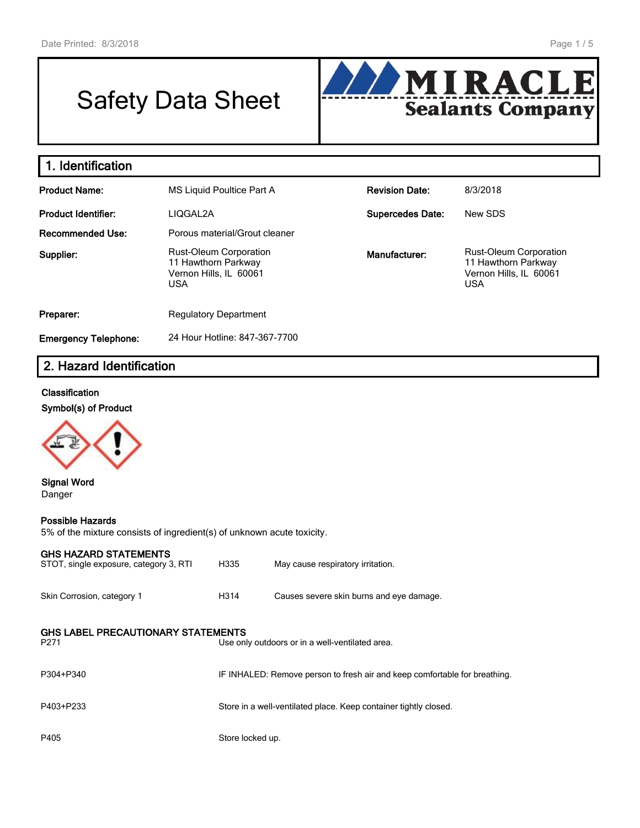# Safety Data Sheet



| 1. Identification           |                                                                                       |                         |                                                                                              |  |  |  |
|-----------------------------|---------------------------------------------------------------------------------------|-------------------------|----------------------------------------------------------------------------------------------|--|--|--|
| <b>Product Name:</b>        | MS Liquid Poultice Part A                                                             | <b>Revision Date:</b>   | 8/3/2018                                                                                     |  |  |  |
| <b>Product Identifier:</b>  | LIQGAL2A                                                                              | <b>Supercedes Date:</b> | New SDS                                                                                      |  |  |  |
| <b>Recommended Use:</b>     | Porous material/Grout cleaner                                                         |                         |                                                                                              |  |  |  |
| Supplier:                   | <b>Rust-Oleum Corporation</b><br>11 Hawthorn Parkway<br>Vernon Hills, IL 60061<br>USA | Manufacturer:           | <b>Rust-Oleum Corporation</b><br>11 Hawthorn Parkway<br>Vernon Hills, IL 60061<br><b>USA</b> |  |  |  |
| Preparer:                   | <b>Regulatory Department</b>                                                          |                         |                                                                                              |  |  |  |
| <b>Emergency Telephone:</b> | 24 Hour Hotline: 847-367-7700                                                         |                         |                                                                                              |  |  |  |

# **2. Hazard Identification**

#### **Classification**

**Symbol(s) of Product**



**Signal Word** Danger

#### **Possible Hazards**

5% of the mixture consists of ingredient(s) of unknown acute toxicity.

#### **GHS HAZARD STATEMENTS**

| STOT, single exposure, category 3, RTI                        | H335             | May cause respiratory irritation.                                          |
|---------------------------------------------------------------|------------------|----------------------------------------------------------------------------|
| Skin Corrosion, category 1                                    | H314             | Causes severe skin burns and eye damage.                                   |
| <b>GHS LABEL PRECAUTIONARY STATEMENTS</b><br>P <sub>271</sub> |                  | Use only outdoors or in a well-ventilated area.                            |
| P304+P340                                                     |                  | IF INHALED: Remove person to fresh air and keep comfortable for breathing. |
| P403+P233                                                     |                  | Store in a well-ventilated place. Keep container tightly closed.           |
| P405                                                          | Store locked up. |                                                                            |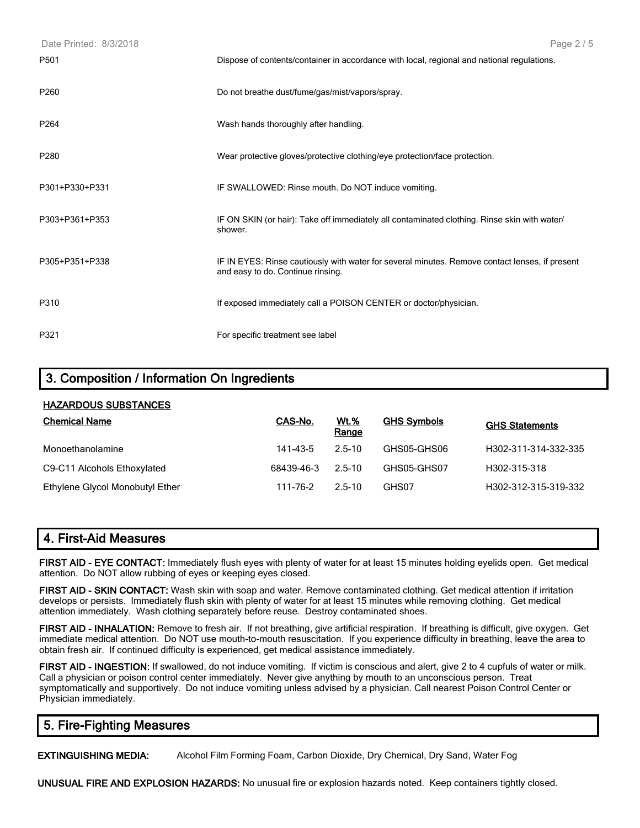| Date Printed: 8/3/2018 | Page 2/5                                                                                                                            |
|------------------------|-------------------------------------------------------------------------------------------------------------------------------------|
| P501                   | Dispose of contents/container in accordance with local, regional and national regulations.                                          |
| P <sub>260</sub>       | Do not breathe dust/fume/gas/mist/vapors/spray.                                                                                     |
| P264                   | Wash hands thoroughly after handling.                                                                                               |
| P280                   | Wear protective gloves/protective clothing/eye protection/face protection.                                                          |
| P301+P330+P331         | IF SWALLOWED: Rinse mouth. Do NOT induce vomiting.                                                                                  |
| P303+P361+P353         | IF ON SKIN (or hair): Take off immediately all contaminated clothing. Rinse skin with water/<br>shower.                             |
| P305+P351+P338         | IF IN EYES: Rinse cautiously with water for several minutes. Remove contact lenses, if present<br>and easy to do. Continue rinsing. |
| P310                   | If exposed immediately call a POISON CENTER or doctor/physician.                                                                    |
| P321                   | For specific treatment see label                                                                                                    |

# **3. Composition / Information On Ingredients**

#### **HAZARDOUS SUBSTANCES**

| <b>Chemical Name</b>            | CAS-No.    | <u>Wt.%</u><br>Range | <b>GHS Symbols</b> | <b>GHS Statements</b> |
|---------------------------------|------------|----------------------|--------------------|-----------------------|
| Monoethanolamine                | 141-43-5   | $2.5 - 10$           | GHS05-GHS06        | H302-311-314-332-335  |
| C9-C11 Alcohols Ethoxylated     | 68439-46-3 | 2.5-10               | GHS05-GHS07        | H302-315-318          |
| Ethylene Glycol Monobutyl Ether | 111-76-2   | $2.5 - 10$           | GHS07              | H302-312-315-319-332  |

# **4. First-Aid Measures**

**FIRST AID - EYE CONTACT:** Immediately flush eyes with plenty of water for at least 15 minutes holding eyelids open. Get medical attention. Do NOT allow rubbing of eyes or keeping eyes closed.

**FIRST AID - SKIN CONTACT:** Wash skin with soap and water. Remove contaminated clothing. Get medical attention if irritation develops or persists. Immediately flush skin with plenty of water for at least 15 minutes while removing clothing. Get medical attention immediately. Wash clothing separately before reuse. Destroy contaminated shoes.

**FIRST AID - INHALATION:** Remove to fresh air. If not breathing, give artificial respiration. If breathing is difficult, give oxygen. Get immediate medical attention. Do NOT use mouth-to-mouth resuscitation. If you experience difficulty in breathing, leave the area to obtain fresh air. If continued difficulty is experienced, get medical assistance immediately.

**FIRST AID - INGESTION:** If swallowed, do not induce vomiting. If victim is conscious and alert, give 2 to 4 cupfuls of water or milk. Call a physician or poison control center immediately. Never give anything by mouth to an unconscious person. Treat symptomatically and supportively. Do not induce vomiting unless advised by a physician. Call nearest Poison Control Center or Physician immediately.

# **5. Fire-Fighting Measures**

**EXTINGUISHING MEDIA:** Alcohol Film Forming Foam, Carbon Dioxide, Dry Chemical, Dry Sand, Water Fog

**UNUSUAL FIRE AND EXPLOSION HAZARDS:** No unusual fire or explosion hazards noted. Keep containers tightly closed.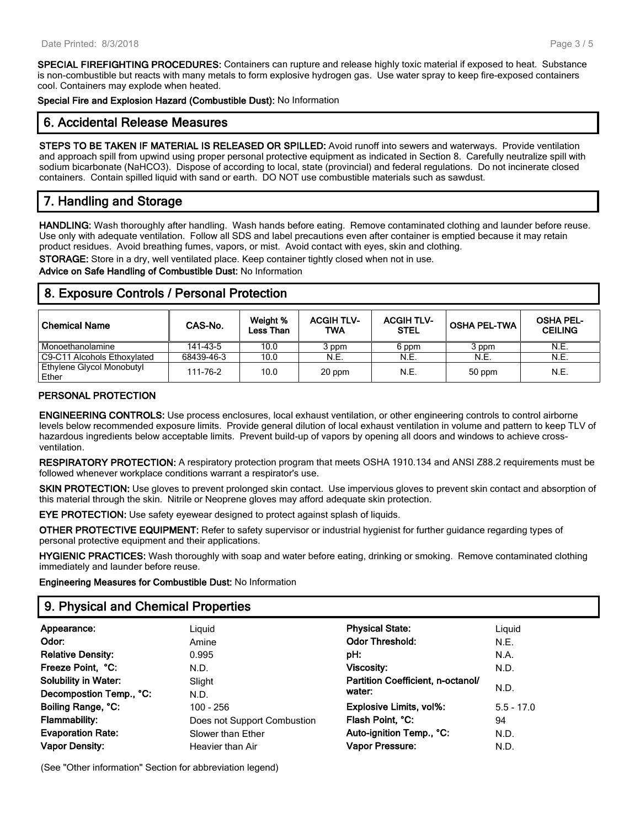**SPECIAL FIREFIGHTING PROCEDURES:** Containers can rupture and release highly toxic material if exposed to heat. Substance is non-combustible but reacts with many metals to form explosive hydrogen gas. Use water spray to keep fire-exposed containers cool. Containers may explode when heated.

**Special Fire and Explosion Hazard (Combustible Dust):** No Information

# **6. Accidental Release Measures**

**STEPS TO BE TAKEN IF MATERIAL IS RELEASED OR SPILLED:** Avoid runoff into sewers and waterways. Provide ventilation and approach spill from upwind using proper personal protective equipment as indicated in Section 8. Carefully neutralize spill with sodium bicarbonate (NaHCO3). Dispose of according to local, state (provincial) and federal regulations. Do not incinerate closed containers. Contain spilled liquid with sand or earth. DO NOT use combustible materials such as sawdust.

# **7. Handling and Storage**

**HANDLING:** Wash thoroughly after handling. Wash hands before eating. Remove contaminated clothing and launder before reuse. Use only with adequate ventilation. Follow all SDS and label precautions even after container is emptied because it may retain product residues. Avoid breathing fumes, vapors, or mist. Avoid contact with eyes, skin and clothing.

**STORAGE:** Store in a dry, well ventilated place. Keep container tightly closed when not in use.

**Advice on Safe Handling of Combustible Dust:** No Information

# **8. Exposure Controls / Personal Protection**

| <b>Chemical Name</b>               | CAS-No.    | Weight %<br>Less Than | <b>ACGIH TLV-</b><br>TWA | <b>ACGIH TLV-</b><br><b>STEL</b> | <b>OSHA PEL-TWA</b> | <b>OSHA PEL-</b><br><b>CEILING</b> |
|------------------------------------|------------|-----------------------|--------------------------|----------------------------------|---------------------|------------------------------------|
| Monoethanolamine                   | 141-43-5   | 10.0                  | 3 ppm                    | 6 ppm                            | 3 ppm               | N.E.                               |
| C9-C11 Alcohols Ethoxylated        | 68439-46-3 | 10.0                  | N.E.                     | N.E.                             | N.E.                | N.E.                               |
| Ethylene Glycol Monobutyl<br>Ether | 111-76-2   | 10.0                  | 20 ppm                   | N.E.                             | 50 ppm              | N.E.                               |

#### **PERSONAL PROTECTION**

**ENGINEERING CONTROLS:** Use process enclosures, local exhaust ventilation, or other engineering controls to control airborne levels below recommended exposure limits. Provide general dilution of local exhaust ventilation in volume and pattern to keep TLV of hazardous ingredients below acceptable limits. Prevent build-up of vapors by opening all doors and windows to achieve crossventilation.

**RESPIRATORY PROTECTION:** A respiratory protection program that meets OSHA 1910.134 and ANSI Z88.2 requirements must be followed whenever workplace conditions warrant a respirator's use.

**SKIN PROTECTION:** Use gloves to prevent prolonged skin contact. Use impervious gloves to prevent skin contact and absorption of this material through the skin. Nitrile or Neoprene gloves may afford adequate skin protection.

**EYE PROTECTION:** Use safety eyewear designed to protect against splash of liquids.

**OTHER PROTECTIVE EQUIPMENT:** Refer to safety supervisor or industrial hygienist for further guidance regarding types of personal protective equipment and their applications.

**HYGIENIC PRACTICES:** Wash thoroughly with soap and water before eating, drinking or smoking. Remove contaminated clothing immediately and launder before reuse.

**Engineering Measures for Combustible Dust:** No Information

# **9. Physical and Chemical Properties**

| Appearance:                 | Liguid                      | <b>Physical State:</b>            | Liguid       |
|-----------------------------|-----------------------------|-----------------------------------|--------------|
| Odor:                       | Amine                       | <b>Odor Threshold:</b>            | N.E.         |
| <b>Relative Density:</b>    | 0.995                       | pH:                               | N.A.         |
| Freeze Point, °C:           | N.D.                        | Viscosity:                        | N.D.         |
| <b>Solubility in Water:</b> | Slight                      | Partition Coefficient, n-octanol/ |              |
| Decompostion Temp., °C:     | N.D.                        | water:                            | N.D.         |
| Boiling Range, °C:          | $100 - 256$                 | <b>Explosive Limits, vol%:</b>    | $5.5 - 17.0$ |
| <b>Flammability:</b>        | Does not Support Combustion | Flash Point, °C:                  | 94           |
| <b>Evaporation Rate:</b>    | Slower than Ether           | Auto-ignition Temp., °C:          | N.D.         |
| <b>Vapor Density:</b>       | Heavier than Air            | Vapor Pressure:                   | N.D.         |

(See "Other information" Section for abbreviation legend)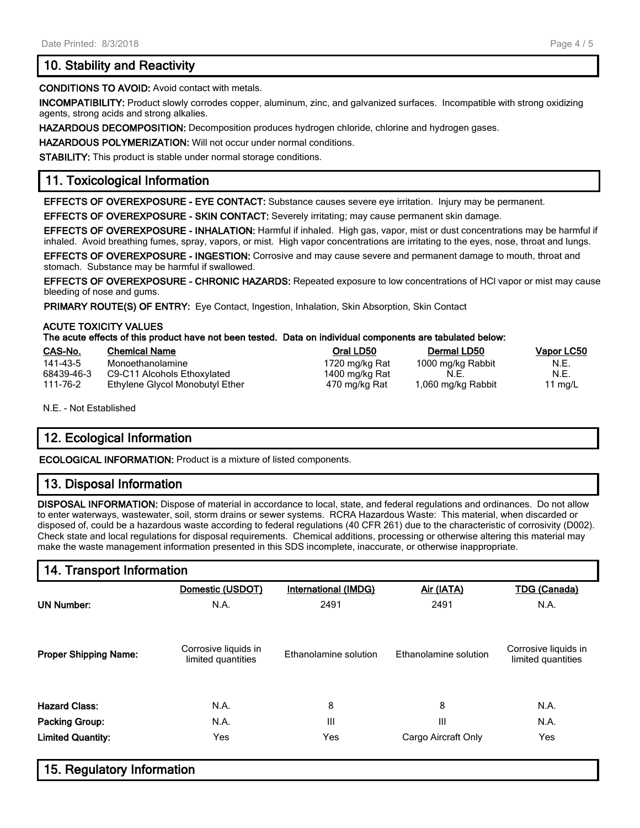# **10. Stability and Reactivity**

**CONDITIONS TO AVOID:** Avoid contact with metals.

**INCOMPATIBILITY:** Product slowly corrodes copper, aluminum, zinc, and galvanized surfaces. Incompatible with strong oxidizing agents, strong acids and strong alkalies.

**HAZARDOUS DECOMPOSITION:** Decomposition produces hydrogen chloride, chlorine and hydrogen gases.

**HAZARDOUS POLYMERIZATION:** Will not occur under normal conditions.

**STABILITY:** This product is stable under normal storage conditions.

# **11. Toxicological Information**

**EFFECTS OF OVEREXPOSURE - EYE CONTACT:** Substance causes severe eye irritation. Injury may be permanent.

**EFFECTS OF OVEREXPOSURE - SKIN CONTACT:** Severely irritating; may cause permanent skin damage.

**EFFECTS OF OVEREXPOSURE - INHALATION:** Harmful if inhaled. High gas, vapor, mist or dust concentrations may be harmful if inhaled. Avoid breathing fumes, spray, vapors, or mist. High vapor concentrations are irritating to the eyes, nose, throat and lungs.

**EFFECTS OF OVEREXPOSURE - INGESTION:** Corrosive and may cause severe and permanent damage to mouth, throat and stomach. Substance may be harmful if swallowed.

**EFFECTS OF OVEREXPOSURE - CHRONIC HAZARDS:** Repeated exposure to low concentrations of HCl vapor or mist may cause bleeding of nose and gums.

**PRIMARY ROUTE(S) OF ENTRY:** Eye Contact, Ingestion, Inhalation, Skin Absorption, Skin Contact

#### **ACUTE TOXICITY VALUES The acute effects of this product have not been tested. Data on individual components are tabulated below:**

| CAS-No.    | <b>Chemical Name</b>            | Oral LD50      | Dermal LD50        | Vapor LC50 |
|------------|---------------------------------|----------------|--------------------|------------|
| 141-43-5   | Monoethanolamine                | 1720 mg/kg Rat | 1000 mg/kg Rabbit  | N.E.       |
| 68439-46-3 | C9-C11 Alcohols Ethoxylated     | 1400 mg/kg Rat | N.E.               | N.E.       |
| 111-76-2   | Ethylene Glycol Monobutyl Ether | 470 mg/kg Rat  | 1,060 mg/kg Rabbit | 11 mg/L    |

N.E. - Not Established

# **12. Ecological Information**

**ECOLOGICAL INFORMATION:** Product is a mixture of listed components.

# **13. Disposal Information**

**DISPOSAL INFORMATION:** Dispose of material in accordance to local, state, and federal regulations and ordinances. Do not allow to enter waterways, wastewater, soil, storm drains or sewer systems. RCRA Hazardous Waste: This material, when discarded or disposed of, could be a hazardous waste according to federal regulations (40 CFR 261) due to the characteristic of corrosivity (D002). Check state and local regulations for disposal requirements. Chemical additions, processing or otherwise altering this material may make the waste management information presented in this SDS incomplete, inaccurate, or otherwise inappropriate.

# **14. Transport Information**

|                              | Domestic (USDOT)                           | International (IMDG)  | Air (IATA)            | <b>TDG (Canada)</b>                        |
|------------------------------|--------------------------------------------|-----------------------|-----------------------|--------------------------------------------|
| <b>UN Number:</b>            | N.A.                                       | 2491                  | 2491                  | N.A.                                       |
| <b>Proper Shipping Name:</b> | Corrosive liquids in<br>limited quantities | Ethanolamine solution | Ethanolamine solution | Corrosive liquids in<br>limited quantities |
| <b>Hazard Class:</b>         | N.A.                                       | 8                     | 8                     | N.A.                                       |
| <b>Packing Group:</b>        | N.A.                                       | III                   | Ш                     | N.A.                                       |
| <b>Limited Quantity:</b>     | Yes                                        | Yes                   | Cargo Aircraft Only   | Yes                                        |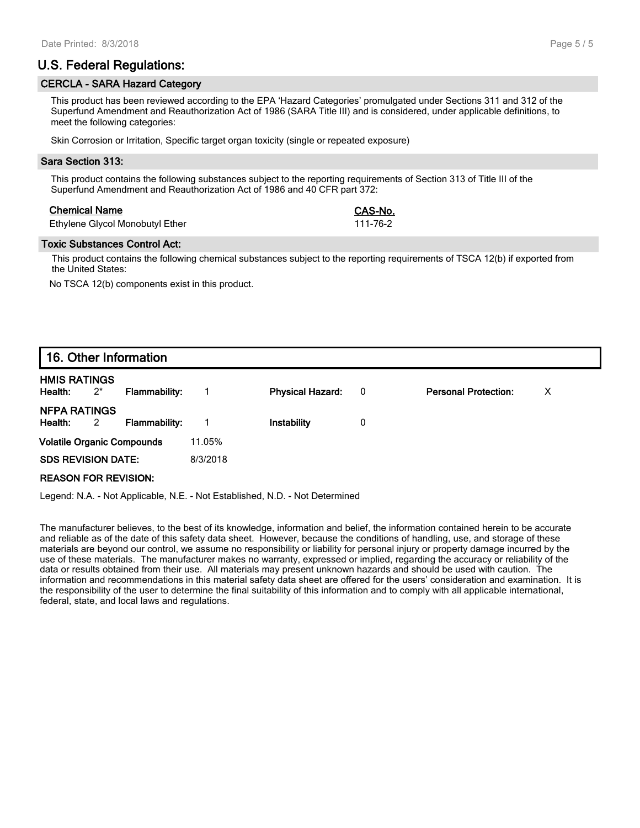# **U.S. Federal Regulations:**

#### **CERCLA - SARA Hazard Category**

This product has been reviewed according to the EPA 'Hazard Categories' promulgated under Sections 311 and 312 of the Superfund Amendment and Reauthorization Act of 1986 (SARA Title III) and is considered, under applicable definitions, to meet the following categories:

Skin Corrosion or Irritation, Specific target organ toxicity (single or repeated exposure)

#### **Sara Section 313:**

This product contains the following substances subject to the reporting requirements of Section 313 of Title III of the Superfund Amendment and Reauthorization Act of 1986 and 40 CFR part 372:

#### **Chemical Name CAS-No.**

| Ethylene Glycol Monobutyl Ether | 111-76-2 |
|---------------------------------|----------|
|---------------------------------|----------|

#### **Toxic Substances Control Act:**

This product contains the following chemical substances subject to the reporting requirements of TSCA 12(b) if exported from the United States:

No TSCA 12(b) components exist in this product.

# **16. Other Information**

| <b>HMIS RATINGS</b><br>Health:    | $2^*$ | Flammability: |          | <b>Physical Hazard:</b> | $\overline{\phantom{0}}$ | <b>Personal Protection:</b> | X. |
|-----------------------------------|-------|---------------|----------|-------------------------|--------------------------|-----------------------------|----|
| <b>NFPA RATINGS</b><br>Health: 2  |       | Flammability: |          | Instability             | 0                        |                             |    |
| <b>Volatile Organic Compounds</b> |       |               | 11.05%   |                         |                          |                             |    |
| <b>SDS REVISION DATE:</b>         |       |               | 8/3/2018 |                         |                          |                             |    |
| <b>REASON FOR REVISION:</b>       |       |               |          |                         |                          |                             |    |

Legend: N.A. - Not Applicable, N.E. - Not Established, N.D. - Not Determined

The manufacturer believes, to the best of its knowledge, information and belief, the information contained herein to be accurate and reliable as of the date of this safety data sheet. However, because the conditions of handling, use, and storage of these materials are beyond our control, we assume no responsibility or liability for personal injury or property damage incurred by the use of these materials. The manufacturer makes no warranty, expressed or implied, regarding the accuracy or reliability of the data or results obtained from their use. All materials may present unknown hazards and should be used with caution. The information and recommendations in this material safety data sheet are offered for the users' consideration and examination. It is the responsibility of the user to determine the final suitability of this information and to comply with all applicable international, federal, state, and local laws and regulations.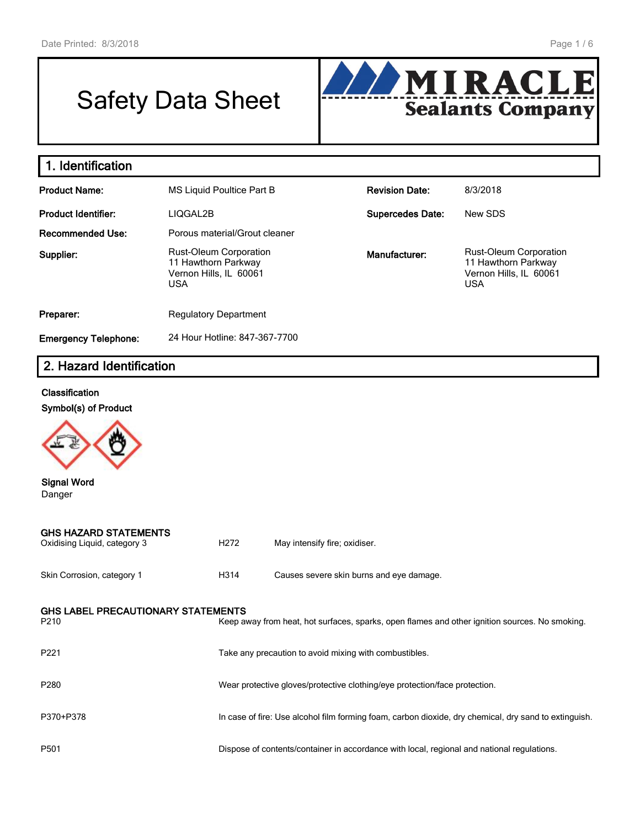# Safety Data Sheet



# **1. Identification**

| <b>Product Name:</b>        | MS Liquid Poultice Part B                                                                    | <b>Revision Date:</b>   | 8/3/2018                                                                                     |
|-----------------------------|----------------------------------------------------------------------------------------------|-------------------------|----------------------------------------------------------------------------------------------|
| <b>Product Identifier:</b>  | LIQGAL2B                                                                                     | <b>Supercedes Date:</b> | New SDS                                                                                      |
| <b>Recommended Use:</b>     | Porous material/Grout cleaner                                                                |                         |                                                                                              |
| Supplier:                   | <b>Rust-Oleum Corporation</b><br>11 Hawthorn Parkway<br>Vernon Hills, IL 60061<br><b>USA</b> | Manufacturer:           | <b>Rust-Oleum Corporation</b><br>11 Hawthorn Parkway<br>Vernon Hills, IL 60061<br><b>USA</b> |
| Preparer:                   | <b>Regulatory Department</b>                                                                 |                         |                                                                                              |
| <b>Emergency Telephone:</b> | 24 Hour Hotline: 847-367-7700                                                                |                         |                                                                                              |

# **2. Hazard Identification**

#### **Classification**

**Symbol(s) of Product**



# **Signal Word** Danger

| <b>GHS HAZARD STATEMENTS</b><br>Oxidising Liquid, category 3 | H <sub>272</sub> | May intensify fire; oxidiser.                                                                         |
|--------------------------------------------------------------|------------------|-------------------------------------------------------------------------------------------------------|
| Skin Corrosion, category 1                                   | H314             | Causes severe skin burns and eye damage.                                                              |
| <b>GHS LABEL PRECAUTIONARY STATEMENTS</b><br>P210            |                  | Keep away from heat, hot surfaces, sparks, open flames and other ignition sources. No smoking.        |
| P221                                                         |                  | Take any precaution to avoid mixing with combustibles.                                                |
| P280                                                         |                  | Wear protective gloves/protective clothing/eye protection/face protection.                            |
| P370+P378                                                    |                  | In case of fire: Use alcohol film forming foam, carbon dioxide, dry chemical, dry sand to extinguish. |
| P501                                                         |                  | Dispose of contents/container in accordance with local, regional and national regulations.            |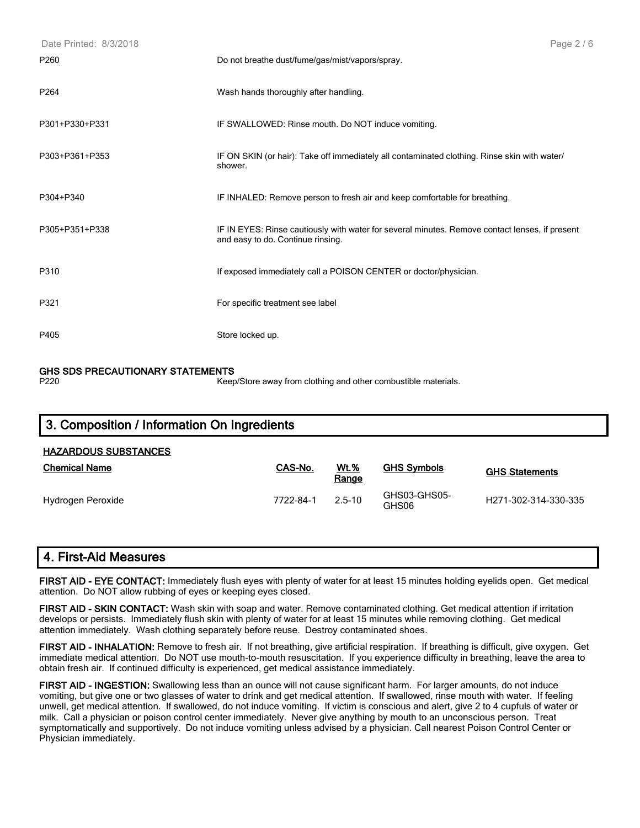| Date Printed: 8/3/2018 | Page 2/6                                                                                                                            |
|------------------------|-------------------------------------------------------------------------------------------------------------------------------------|
| P <sub>260</sub>       | Do not breathe dust/fume/gas/mist/vapors/spray.                                                                                     |
| P <sub>264</sub>       | Wash hands thoroughly after handling.                                                                                               |
| P301+P330+P331         | IF SWALLOWED: Rinse mouth. Do NOT induce vomiting.                                                                                  |
| P303+P361+P353         | IF ON SKIN (or hair): Take off immediately all contaminated clothing. Rinse skin with water/<br>shower.                             |
| P304+P340              | IF INHALED: Remove person to fresh air and keep comfortable for breathing.                                                          |
| P305+P351+P338         | IF IN EYES: Rinse cautiously with water for several minutes. Remove contact lenses, if present<br>and easy to do. Continue rinsing. |
| P310                   | If exposed immediately call a POISON CENTER or doctor/physician.                                                                    |
| P321                   | For specific treatment see label                                                                                                    |
| P405                   | Store locked up.                                                                                                                    |

# **GHS SDS PRECAUTIONARY STATEMENTS**<br>P220<br>Keep

Keep/Store away from clothing and other combustible materials.

| 3. Composition / Information On Ingredients |           |                      |                       |                                   |  |  |  |
|---------------------------------------------|-----------|----------------------|-----------------------|-----------------------------------|--|--|--|
| <b>HAZARDOUS SUBSTANCES</b>                 |           |                      |                       |                                   |  |  |  |
| <b>Chemical Name</b>                        | CAS-No.   | <u>Wt.%</u><br>Range | <b>GHS Symbols</b>    | <b>GHS Statements</b>             |  |  |  |
| Hydrogen Peroxide                           | 7722-84-1 | $2.5 - 10$           | GHS03-GHS05-<br>GHS06 | H <sub>271</sub> -302-314-330-335 |  |  |  |

| 4. First-Aid Measures |
|-----------------------|
|-----------------------|

**FIRST AID - EYE CONTACT:** Immediately flush eyes with plenty of water for at least 15 minutes holding eyelids open. Get medical attention. Do NOT allow rubbing of eyes or keeping eyes closed.

**FIRST AID - SKIN CONTACT:** Wash skin with soap and water. Remove contaminated clothing. Get medical attention if irritation develops or persists. Immediately flush skin with plenty of water for at least 15 minutes while removing clothing. Get medical attention immediately. Wash clothing separately before reuse. Destroy contaminated shoes.

**FIRST AID - INHALATION:** Remove to fresh air. If not breathing, give artificial respiration. If breathing is difficult, give oxygen. Get immediate medical attention. Do NOT use mouth-to-mouth resuscitation. If you experience difficulty in breathing, leave the area to obtain fresh air. If continued difficulty is experienced, get medical assistance immediately.

**FIRST AID - INGESTION:** Swallowing less than an ounce will not cause significant harm. For larger amounts, do not induce vomiting, but give one or two glasses of water to drink and get medical attention. If swallowed, rinse mouth with water. If feeling unwell, get medical attention. If swallowed, do not induce vomiting. If victim is conscious and alert, give 2 to 4 cupfuls of water or milk. Call a physician or poison control center immediately. Never give anything by mouth to an unconscious person. Treat symptomatically and supportively. Do not induce vomiting unless advised by a physician. Call nearest Poison Control Center or Physician immediately.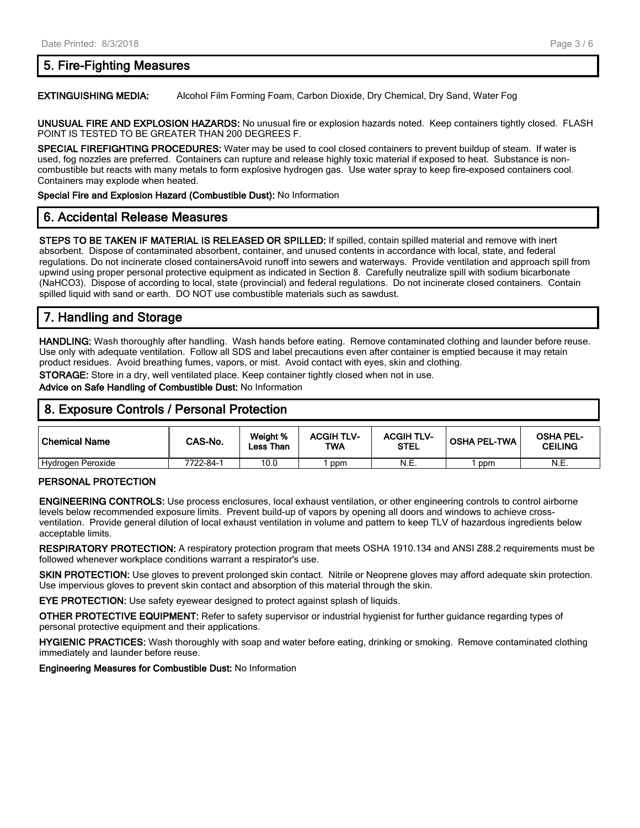# **5. Fire-Fighting Measures**

**EXTINGUISHING MEDIA:** Alcohol Film Forming Foam, Carbon Dioxide, Dry Chemical, Dry Sand, Water Fog

**UNUSUAL FIRE AND EXPLOSION HAZARDS:** No unusual fire or explosion hazards noted. Keep containers tightly closed. FLASH POINT IS TESTED TO BE GREATER THAN 200 DEGREES F.

**SPECIAL FIREFIGHTING PROCEDURES:** Water may be used to cool closed containers to prevent buildup of steam. If water is used, fog nozzles are preferred. Containers can rupture and release highly toxic material if exposed to heat. Substance is noncombustible but reacts with many metals to form explosive hydrogen gas. Use water spray to keep fire-exposed containers cool. Containers may explode when heated.

**Special Fire and Explosion Hazard (Combustible Dust):** No Information

# **6. Accidental Release Measures**

**STEPS TO BE TAKEN IF MATERIAL IS RELEASED OR SPILLED:** If spilled, contain spilled material and remove with inert absorbent. Dispose of contaminated absorbent, container, and unused contents in accordance with local, state, and federal regulations. Do not incinerate closed containersAvoid runoff into sewers and waterways. Provide ventilation and approach spill from upwind using proper personal protective equipment as indicated in Section 8. Carefully neutralize spill with sodium bicarbonate (NaHCO3). Dispose of according to local, state (provincial) and federal regulations. Do not incinerate closed containers. Contain spilled liquid with sand or earth. DO NOT use combustible materials such as sawdust.

# **7. Handling and Storage**

**HANDLING:** Wash thoroughly after handling. Wash hands before eating. Remove contaminated clothing and launder before reuse. Use only with adequate ventilation. Follow all SDS and label precautions even after container is emptied because it may retain product residues. Avoid breathing fumes, vapors, or mist. Avoid contact with eyes, skin and clothing.

**STORAGE:** Store in a dry, well ventilated place. Keep container tightly closed when not in use.

**Advice on Safe Handling of Combustible Dust:** No Information

| 18. Exposure Controls / Personal Protection |         |                       |                          |                                  |                     |                                    |  |
|---------------------------------------------|---------|-----------------------|--------------------------|----------------------------------|---------------------|------------------------------------|--|
| l Chemical Name                             | CAS-No. | Weight %<br>∟ess Than | <b>ACGIH TLV-</b><br>TWA | <b>ACGIH TLV-</b><br><b>STEL</b> | <b>OSHA PEL-TWA</b> | <b>OSHA PEL-</b><br><b>CEILING</b> |  |

#### **PERSONAL PROTECTION**

**ENGINEERING CONTROLS:** Use process enclosures, local exhaust ventilation, or other engineering controls to control airborne levels below recommended exposure limits. Prevent build-up of vapors by opening all doors and windows to achieve crossventilation. Provide general dilution of local exhaust ventilation in volume and pattern to keep TLV of hazardous ingredients below acceptable limits.

Hydrogen Peroxide 7722-84-1 10.0 1 ppm N.E. 1 ppm N.E.

**RESPIRATORY PROTECTION:** A respiratory protection program that meets OSHA 1910.134 and ANSI Z88.2 requirements must be followed whenever workplace conditions warrant a respirator's use.

**SKIN PROTECTION:** Use gloves to prevent prolonged skin contact. Nitrile or Neoprene gloves may afford adequate skin protection. Use impervious gloves to prevent skin contact and absorption of this material through the skin.

**EYE PROTECTION:** Use safety eyewear designed to protect against splash of liquids.

**OTHER PROTECTIVE EQUIPMENT:** Refer to safety supervisor or industrial hygienist for further guidance regarding types of personal protective equipment and their applications.

**HYGIENIC PRACTICES:** Wash thoroughly with soap and water before eating, drinking or smoking. Remove contaminated clothing immediately and launder before reuse.

**Engineering Measures for Combustible Dust:** No Information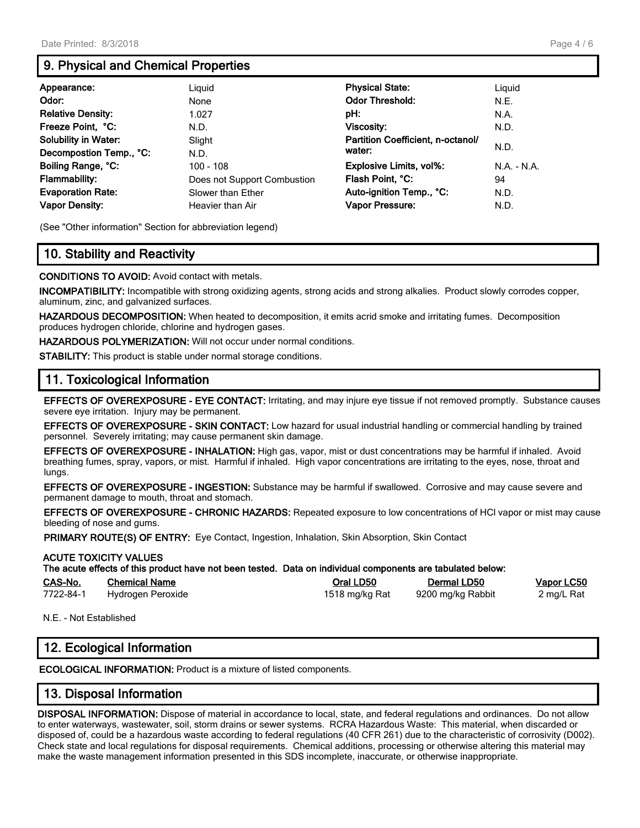# **9. Physical and Chemical Properties**

| Appearance:                 | Liguid                      | <b>Physical State:</b>            | Liguid        |
|-----------------------------|-----------------------------|-----------------------------------|---------------|
| Odor:                       | None                        | <b>Odor Threshold:</b>            | N.E.          |
| <b>Relative Density:</b>    | 1.027                       | pH:                               | N.A.          |
| Freeze Point. °C:           | N.D.                        | <b>Viscosity:</b>                 | N.D.          |
| <b>Solubility in Water:</b> | Slight                      | Partition Coefficient, n-octanol/ | N.D.          |
| Decompostion Temp., °C:     | N.D.                        | water:                            |               |
| Boiling Range, °C:          | $100 - 108$                 | <b>Explosive Limits, vol%:</b>    | $N.A. - N.A.$ |
| <b>Flammability:</b>        | Does not Support Combustion | Flash Point, °C:                  | 94            |
| <b>Evaporation Rate:</b>    | Slower than Ether           | Auto-ignition Temp., °C:          | N.D.          |
| <b>Vapor Density:</b>       | Heavier than Air            | Vapor Pressure:                   | N.D.          |

(See "Other information" Section for abbreviation legend)

# **10. Stability and Reactivity**

**CONDITIONS TO AVOID:** Avoid contact with metals.

**INCOMPATIBILITY:** Incompatible with strong oxidizing agents, strong acids and strong alkalies. Product slowly corrodes copper, aluminum, zinc, and galvanized surfaces.

**HAZARDOUS DECOMPOSITION:** When heated to decomposition, it emits acrid smoke and irritating fumes. Decomposition produces hydrogen chloride, chlorine and hydrogen gases.

**HAZARDOUS POLYMERIZATION:** Will not occur under normal conditions.

**STABILITY:** This product is stable under normal storage conditions.

# **11. Toxicological Information**

**EFFECTS OF OVEREXPOSURE - EYE CONTACT:** Irritating, and may injure eye tissue if not removed promptly. Substance causes severe eye irritation. Injury may be permanent.

**EFFECTS OF OVEREXPOSURE - SKIN CONTACT:** Low hazard for usual industrial handling or commercial handling by trained personnel. Severely irritating; may cause permanent skin damage.

**EFFECTS OF OVEREXPOSURE - INHALATION:** High gas, vapor, mist or dust concentrations may be harmful if inhaled. Avoid breathing fumes, spray, vapors, or mist. Harmful if inhaled. High vapor concentrations are irritating to the eyes, nose, throat and lungs.

**EFFECTS OF OVEREXPOSURE - INGESTION:** Substance may be harmful if swallowed. Corrosive and may cause severe and permanent damage to mouth, throat and stomach.

**EFFECTS OF OVEREXPOSURE - CHRONIC HAZARDS:** Repeated exposure to low concentrations of HCl vapor or mist may cause bleeding of nose and gums.

**PRIMARY ROUTE(S) OF ENTRY:** Eye Contact, Ingestion, Inhalation, Skin Absorption, Skin Contact

#### **ACUTE TOXICITY VALUES**

**The acute effects of this product have not been tested. Data on individual components are tabulated below:**

| CAS-No.   | <b>Chemical Name</b> | Oral LD50      | <b>Dermal LD50</b> | Vapor LC50 |
|-----------|----------------------|----------------|--------------------|------------|
| 7722-84-1 | Hydrogen Peroxide    | 1518 mg/kg Rat | 9200 mg/kg Rabbit  | 2 mg/L Rat |

N.E. - Not Established

# **12. Ecological Information**

**ECOLOGICAL INFORMATION:** Product is a mixture of listed components.

# **13. Disposal Information**

**DISPOSAL INFORMATION:** Dispose of material in accordance to local, state, and federal regulations and ordinances. Do not allow to enter waterways, wastewater, soil, storm drains or sewer systems. RCRA Hazardous Waste: This material, when discarded or disposed of, could be a hazardous waste according to federal regulations (40 CFR 261) due to the characteristic of corrosivity (D002). Check state and local regulations for disposal requirements. Chemical additions, processing or otherwise altering this material may make the waste management information presented in this SDS incomplete, inaccurate, or otherwise inappropriate.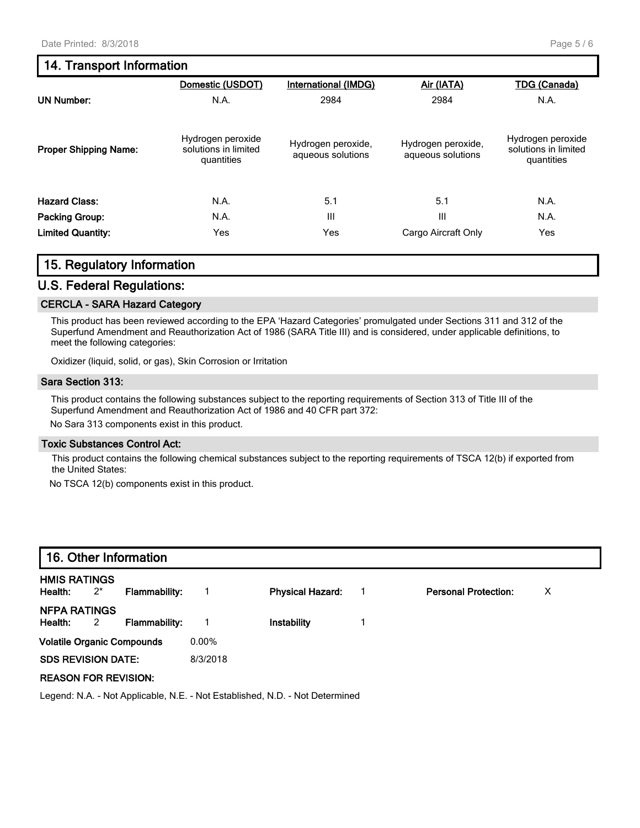# **14. Transport Information**

|                              | Domestic (USDOT)                                        | <b>International (IMDG)</b>             | Air (IATA)                              | <b>TDG (Canada)</b>                                     |
|------------------------------|---------------------------------------------------------|-----------------------------------------|-----------------------------------------|---------------------------------------------------------|
| <b>UN Number:</b>            | N.A.                                                    | 2984                                    | 2984                                    | N.A.                                                    |
| <b>Proper Shipping Name:</b> | Hydrogen peroxide<br>solutions in limited<br>quantities | Hydrogen peroxide,<br>aqueous solutions | Hydrogen peroxide,<br>aqueous solutions | Hydrogen peroxide<br>solutions in limited<br>quantities |
| <b>Hazard Class:</b>         | N.A.                                                    | 5.1                                     | 5.1                                     | N.A.                                                    |
| Packing Group:               | N.A.                                                    | III                                     | Ш                                       | N.A.                                                    |
| <b>Limited Quantity:</b>     | Yes                                                     | Yes                                     | Cargo Aircraft Only                     | Yes                                                     |

### **15. Regulatory Information**

#### **U.S. Federal Regulations:**

#### **CERCLA - SARA Hazard Category**

This product has been reviewed according to the EPA 'Hazard Categories' promulgated under Sections 311 and 312 of the Superfund Amendment and Reauthorization Act of 1986 (SARA Title III) and is considered, under applicable definitions, to meet the following categories:

Oxidizer (liquid, solid, or gas), Skin Corrosion or Irritation

#### **Sara Section 313:**

This product contains the following substances subject to the reporting requirements of Section 313 of Title III of the Superfund Amendment and Reauthorization Act of 1986 and 40 CFR part 372:

No Sara 313 components exist in this product.

#### **Toxic Substances Control Act:**

This product contains the following chemical substances subject to the reporting requirements of TSCA 12(b) if exported from the United States:

No TSCA 12(b) components exist in this product.

| 16. Other Information                                                        |       |                      |          |                         |  |                             |   |
|------------------------------------------------------------------------------|-------|----------------------|----------|-------------------------|--|-----------------------------|---|
| <b>HMIS RATINGS</b><br>Health:                                               | $2^*$ | Flammability:        |          | <b>Physical Hazard:</b> |  | <b>Personal Protection:</b> | X |
| <b>NFPA RATINGS</b><br>Health:                                               | 2     | <b>Flammability:</b> |          | Instability             |  |                             |   |
| <b>Volatile Organic Compounds</b>                                            |       |                      | $0.00\%$ |                         |  |                             |   |
| <b>SDS REVISION DATE:</b>                                                    |       |                      | 8/3/2018 |                         |  |                             |   |
| <b>REASON FOR REVISION:</b>                                                  |       |                      |          |                         |  |                             |   |
| Legend: N.A. - Not Applicable, N.E. - Not Established, N.D. - Not Determined |       |                      |          |                         |  |                             |   |